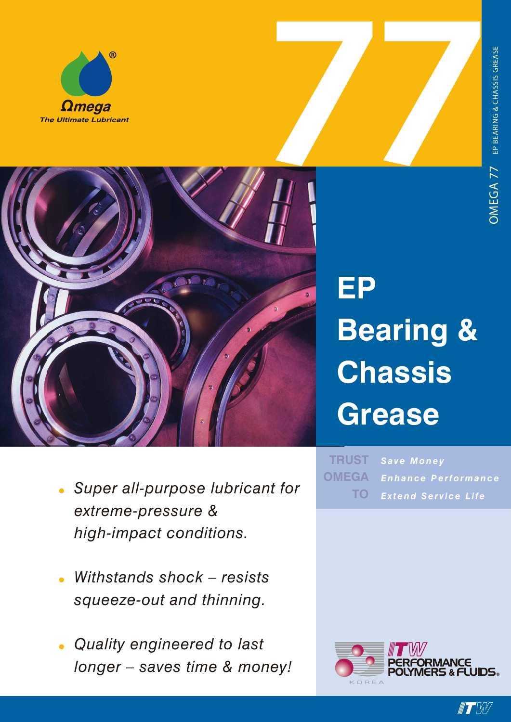



# **EP Bearing & Chassis Grease**

- *• Super all-purpose lubricant for extreme-pressure & high-impact conditions.*
- *• Withstands shock – resists squeeze-out and thinning.*
- *• Quality engineered to last longer – saves time & money!*

*Save Money Enhance Performance Extend Service Life* **TRUST OMEGA TO**



 $\blacksquare$